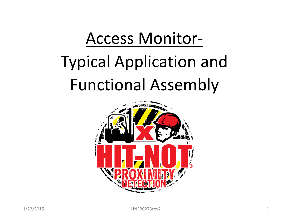# Access Monitor-Typical Application and Functional Assembly

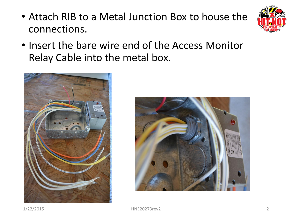• Attach RIB to a Metal Junction Box to house the connections.



• Insert the bare wire end of the Access Monitor Relay Cable into the metal box.



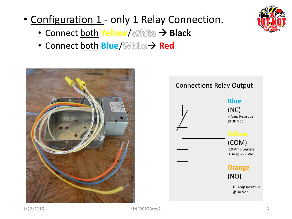

- Configuration 1 only 1 Relay Connection.
	- **Connect both Yellow/ 
	White → Black**
	- Connect both **Blue/** White  $\rightarrow$  Red



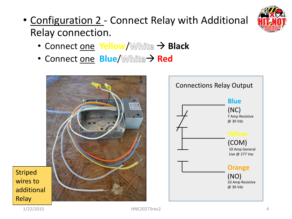

# • Configuration 2 - Connect Relay with Additional Relay connection.

- Connect one **Yellow/ White > Black**
- Connect one **Blue/ White > Red**





Striped wires to additional **Relay**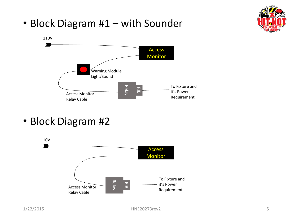• Block Diagram #1 – with Sounder





• Block Diagram #2

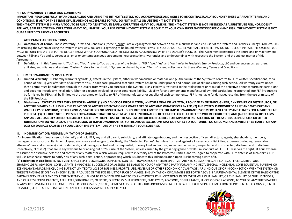# **HIT-NOT® WARRANTY TERMS AND CONDITIONS**

**IMPORTANT-READ CAREFULLY: BY AND INSTALLING AND USING THE HIT-NOT® SYSTEM, YOU ACKNOWLEDGE AND AGREE TO BE CONTRACTUALLY BOUND BY THESE WARRANTY TERMS AND CONDITIONS. IF ANY OF THE TERMS OF USE ARE NOT ACCEPTABLE TO YOU, DO NOT INSTALL OR USE THE HIT-NOT® SYSTEM.**

**THE HIT-NOT® SYSTEM IS SIMPLY A TOOL TO BE USED TO ASSIST YOU IN SAFELY OPERATING HEAVY EQUIPMENT. THE HIT-NOT® SYSTEM IS NOT INTENDED AS A SUBSTITUTE FOR, NOR DOES IT REPLACE, SAFE PRACTICES IN OPERATING HEAVY EQUIPMENT. YOUR USE OF THE HIT-NOT® SYSTEM IS SOLELY AT YOUR OWN INDEPENDENT DISCRETION AND RISK. THE HIT-NOT® SYSTEM IS NOT GUARANTEED TO PREVENT ACCIDENTS.**

### **I. ACCEPTANCE AND DEFINITIONS.**

**(A) Acceptance of Terms.** These Warranty Terms and Conditions (these "Terms") are a legal agreement between You, as a purchaser and end user of the System and Frederick Energy Products, LLC. By installing the System or using the System in any way, You are (1) agreeing to be bound by these Terms. IF YOU DO NOT AGREE WITH ALL THESE TERMS, DO NOT USE OR INSTALL THE SYSTEM. YOU MUST RETURN THE SYSTEM TO THE DEALER FROM WHICH YOU PURCHASED THE SYSTEM, IN ACCORDANCE WITH THE DEALER'S POLICIES. This Agreement constitutes the entire and only agreement between FEP and You and supersedes all prior or contemporaneous agreements, representations, warranties and understandings with respect to the System, and the subject matter of this Agreement.

**(B) Definitions.** In this Agreement, "You" and "Your" refer to You as the user of the System. "FEP" "we," "us" and "our" refer to Frederick Energy Products, LLC and our successors, partners, affiliates, subsidiaries and assigns. "System" refers to the Hit-Not® System purchased by You. "Terms" refers, collectively, to these Warranty Terms and Conditions.

# **II. LIMITED WARRANTIES; DISCLAIMER.**

- **(A) Limited Warranty.** FEP hereby warrants against: (1) defects in the System, either in workmanship or material, and (2) the failure of the System to conform to FEP's written specifications, for a period of one (1) year after date of delivery to You, in each case; provided that such System has been under proper and normal use at all times during such period. All warranty claims under these Terms must be submitted through the Dealer from which you purchased the System. FEP's liability is restricted to the replacement or repair of the defective or nonconforming parts alone and does not include any installation, labor, or expense involved, or other contingent liability. Liability for any components manufactured by third parties but incorporated into FEP Products to be furnished by FEP, shall be limited to the guarantee or liability to FEP of the manufacturer or supplier of such components. FEP is not liable for damages resulting from the use or misuse of the FEP Products.
- **(B) Disclaimers. EXCEPT AS EXPRESSLY SET FORTH ABOVE: (1) NO ADVICE OR INFORMATION, WHETHER ORAL OR WRITTEN, PROVIDED BY OR THROUGH FEP, ANY DEALER OR DISTRIBUTOR, OR ANY THIRD PARTY SHALL IMPLY THE CREATION OF ANY REPRESENTATION OR WARRANTY OF ANY KIND WHATSOEVER BY FEP; (2) THE SYSTEM IS PROVIDED "AS IS" AND WITHOUT ANY WARRANTY OF ANY KIND, EITHER EXPRESS, STATUTORY OR IMPLIED, INCLUDING, BUT NOT LIMITED TO, THE IMPLIED WARRANTIES OF MERCHANTABILITY AND FITNESS FOR A PARTICULAR PURPOSE; (3) FEP DOES NOT REPRESENT OR WARRANT THAT THE SYSTEM WILL BE FUNCTIONAL OR DEFECT-FREE, OR THAT DEFECTS WILL BE CORRECTED; AND (4) FEP HEREBY DISCLAIMS ANY AND ALL LIABILITY OR RESPONSIBILITY FOR THE IMPROPER USE OF THE SYSTEM OR FOR THE INCORRECT OR IMPROPER INSTALLATION OF THE SYSTEM. SOME STATES OR OTHER JURISDICTIONS DO NOT ALLOW THE EXCLUSION OF IMPLIED WARRANTIES, SO THE ABOVE EXCLUSIONS MAY NOT APPLY TO YOU. UNDER NO CIRCUMSTANCES WILL FEP BE LIABLE FOR ANY LOSS OR DAMAGE CAUSED BY YOUR USE OF THE SYSTEM. USE OF THE SYSTEM IS AT YOUR SOLE RISK**

### **III. INDEMNIFICATION; RELEASE; LIMITATION OF LIABILITY.**

**(A) Indemnification.** You agree to indemnify and hold FEP, any and all parent, subsidiary, and affiliate organizations, and their respective officers, directors, agents, shareholders, members, managers, advisors, consultants, employees, successors and assigns (collectively, the "Protected Parties") harmless from and against all losses, costs, liabilities, expenses (including reasonable attorneys' fees and expenses), claims, demands, and damages, actual and consequential, of every kind and nature, known and unknown, suspected and unsuspected, disclosed and undisclosed (collectively, "Losses"), that are in any way due to or arising out of Your use of the System, unless caused by the gross negligence or willful misconduct of FEP. FEP reserves the right, at Your expense, to assume the exclusive defense and control of any matter for which You are required to indemnify any of the Protected Parties, and You agree to cooperate with FEP's defense of such claims. FEP will use reasonable efforts to notify You of any such claim, action, or proceeding which is subject to this indemnification upon FEP becoming aware of it.

**(B) Limitation of Liabilities**. IN NO EVENT SHALL FEP, ITS LICENSORS, SUPPLIERS, CONTENT PROVIDERS OR THEIR RESPECTIVE PARENTS, SUBSIDIARIES, AFFILIATES, OFFICERS, DIRECTORS, SHAREHOLDERS, ADVISORS, CONSULTANTS, EMPLOYEES, SUCCESSORS OR ASSIGNS, BE LIABLE TO YOU OR ANY THIRD PARTY FOR ANY INDIRECT, SPECIAL, INCIDENTAL, CONSEQUENTIAL, PUNITIVE OR EXEMPLARY DAMAGES (INCLUDING BUT NOT LIMITED TO LOSS OF BUSINESS, PROFITS, USE, REVENUE OR OTHER ECONOMIC ADVANTAGE), ARISING OUT OF OR IN CONNECTION WITH THE SYSTEM OR THESE TERMS BASED ON ANY THEORY, EVEN IF ADVISED OF THE POSSIBILITY OF SUCH DAMAGES. THE LIMITATION OF DAMAGES SET FORTH ABOVE IS A FUNDAMENTAL ELEMENT OF THE BASIS OF THE BARGAIN BETWEEN US AND YOU. THE SYSTEM WOULD NOT BE PROVIDED FOR SALE TO YOU WITHOUT SUCH LIMITATIONS. IN NO EVENT WILL OUR LIABILITY, OR THE LIABILITY OF OUR LICENSORS, AND OUR RESPECTIVE PARENTS, AFFILIATES, SUBSIDIARIES, OFFICERS, DIRECTORS, SHAREHOLDERS, EMPLOYEES, ADVISORS, CONSULTANTS, SUCCESSORS OR ASSIGNS, TO YOU OR ANY THIRD PARTIES IN ANY CIRCUMSTANCE EXCEED ONE HUNDRED DOLLARS (US \$100.00). SOME STATES OR OTHER JURISDICTIONS DO NOT ALLOW THE EXCLUSION OR LIMITATION OF INCIDENTAL OR CONSEQUENTIAL DAMAGES, SO THE ABOVE LIMITATIONS AND EXCLUSIONS MAY NOT APPLY TO YOU.